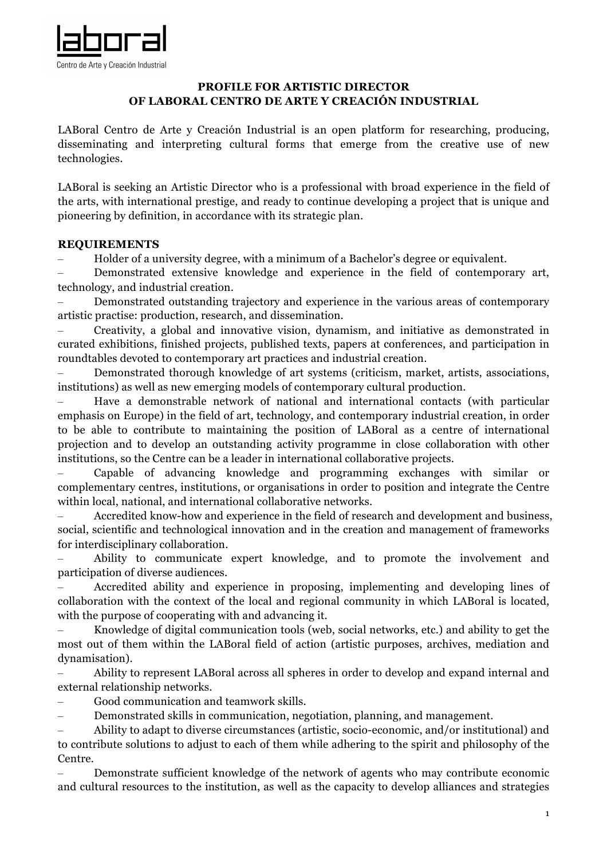

## **PROFILE FOR ARTISTIC DIRECTOR OF LABORAL CENTRO DE ARTE Y CREACIÓN INDUSTRIAL**

LABoral Centro de Arte y Creación Industrial is an open platform for researching, producing, disseminating and interpreting cultural forms that emerge from the creative use of new technologies.

LABoral is seeking an Artistic Director who is a professional with broad experience in the field of the arts, with international prestige, and ready to continue developing a project that is unique and pioneering by definition, in accordance with its strategic plan.

### **REQUIREMENTS**

– Holder of a university degree, with a minimum of a Bachelor's degree or equivalent.

– Demonstrated extensive knowledge and experience in the field of contemporary art, technology, and industrial creation.

– Demonstrated outstanding trajectory and experience in the various areas of contemporary artistic practise: production, research, and dissemination.

– Creativity, a global and innovative vision, dynamism, and initiative as demonstrated in curated exhibitions, finished projects, published texts, papers at conferences, and participation in roundtables devoted to contemporary art practices and industrial creation.

– Demonstrated thorough knowledge of art systems (criticism, market, artists, associations, institutions) as well as new emerging models of contemporary cultural production.

– Have a demonstrable network of national and international contacts (with particular emphasis on Europe) in the field of art, technology, and contemporary industrial creation, in order to be able to contribute to maintaining the position of LABoral as a centre of international projection and to develop an outstanding activity programme in close collaboration with other institutions, so the Centre can be a leader in international collaborative projects.

– Capable of advancing knowledge and programming exchanges with similar or complementary centres, institutions, or organisations in order to position and integrate the Centre within local, national, and international collaborative networks.

– Accredited know-how and experience in the field of research and development and business, social, scientific and technological innovation and in the creation and management of frameworks for interdisciplinary collaboration.

– Ability to communicate expert knowledge, and to promote the involvement and participation of diverse audiences.

– Accredited ability and experience in proposing, implementing and developing lines of collaboration with the context of the local and regional community in which LABoral is located, with the purpose of cooperating with and advancing it.

– Knowledge of digital communication tools (web, social networks, etc.) and ability to get the most out of them within the LABoral field of action (artistic purposes, archives, mediation and dynamisation).

– Ability to represent LABoral across all spheres in order to develop and expand internal and external relationship networks.

– Good communication and teamwork skills.

– Demonstrated skills in communication, negotiation, planning, and management.

– Ability to adapt to diverse circumstances (artistic, socio-economic, and/or institutional) and to contribute solutions to adjust to each of them while adhering to the spirit and philosophy of the Centre.

– Demonstrate sufficient knowledge of the network of agents who may contribute economic and cultural resources to the institution, as well as the capacity to develop alliances and strategies